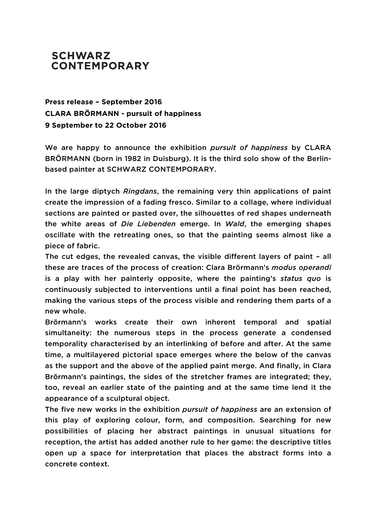## **SCHWARZ CONTEMPORARY**

**Press release – September 2016 CLARA BRÖRMANN - pursuit of happiness 9 September to 22 October 2016**

We are happy to announce the exhibition *pursuit of happiness* by CLARA BRÖRMANN (born in 1982 in Duisburg). It is the third solo show of the Berlinbased painter at SCHWARZ CONTEMPORARY.

In the large diptych *Ringdans*, the remaining very thin applications of paint create the impression of a fading fresco. Similar to a collage, where individual sections are painted or pasted over, the silhouettes of red shapes underneath the white areas of *Die Liebenden* emerge. In *Wald*, the emerging shapes oscillate with the retreating ones, so that the painting seems almost like a piece of fabric.

The cut edges, the revealed canvas, the visible different layers of paint – all these are traces of the process of creation: Clara Brörmann's *modus operandi* is a play with her painterly opposite, where the painting's *status quo* is continuously subjected to interventions until a final point has been reached, making the various steps of the process visible and rendering them parts of a new whole.

Brörmann's works create their own inherent temporal and spatial simultaneity: the numerous steps in the process generate a condensed temporality characterised by an interlinking of before and after. At the same time, a multilayered pictorial space emerges where the below of the canvas as the support and the above of the applied paint merge. And finally, in Clara Brörmann's paintings, the sides of the stretcher frames are integrated; they, too, reveal an earlier state of the painting and at the same time lend it the appearance of a sculptural object.

The five new works in the exhibition *pursuit of happiness* are an extension of this play of exploring colour, form, and composition. Searching for new possibilities of placing her abstract paintings in unusual situations for reception, the artist has added another rule to her game: the descriptive titles open up a space for interpretation that places the abstract forms into a concrete context.